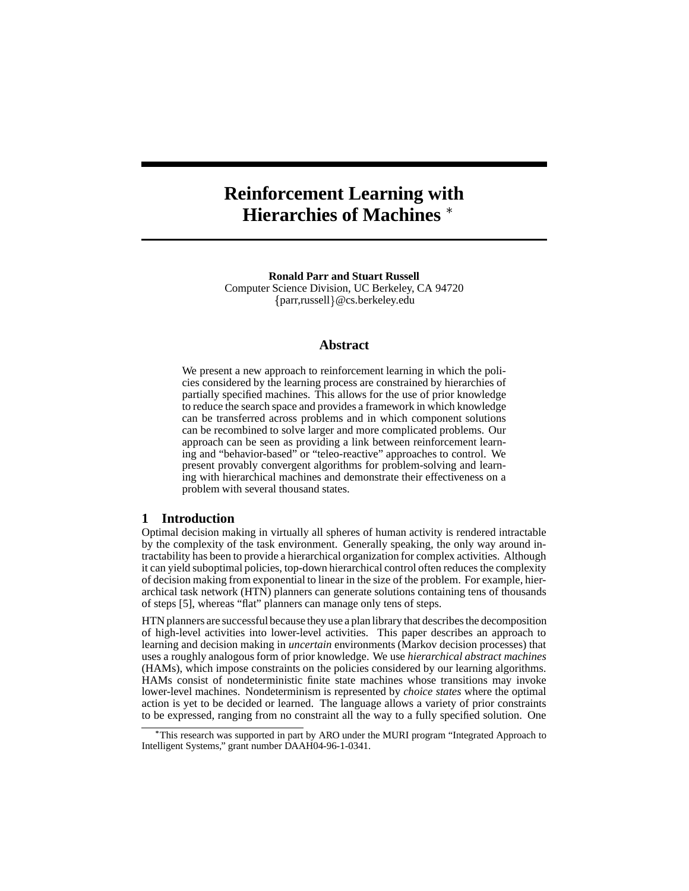# **Reinforcement Learning with Hierarchies of Machines**

**Ronald Parr and Stuart Russell** Computer Science Division, UC Berkeley, CA 94720 {parr,russell}@cs.berkeley.edu

# **Abstract**

We present a new approach to reinforcement learning in which the policies considered by the learning process are constrained by hierarchies of partially specified machines. This allows for the use of prior knowledge to reduce the search space and provides a framework in which knowledge can be transferred across problems and in which component solutions can be recombined to solve larger and more complicated problems. Our approach can be seen as providing a link between reinforcement learning and "behavior-based" or "teleo-reactive" approaches to control. We present provably convergent algorithms for problem-solving and learning with hierarchical machines and demonstrate their effectiveness on a problem with several thousand states.

#### **1 Introduction**

Optimal decision making in virtually all spheres of human activity is rendered intractable by the complexity of the task environment. Generally speaking, the only way around intractability has been to provide a hierarchical organization for complex activities. Although it can yield suboptimal policies, top-down hierarchical control often reduces the complexity of decision making from exponential to linear in the size of the problem. For example, hierarchical task network (HTN) planners can generate solutions containing tens of thousands of steps [5], whereas "flat" planners can manage only tens of steps.

HTN planners are successful because they use a plan library that describesthe decomposition of high-level activities into lower-level activities. This paper describes an approach to learning and decision making in *uncertain* environments (Markov decision processes) that uses a roughly analogous form of prior knowledge. We use *hierarchical abstract machines* (HAMs), which impose constraints on the policies considered by our learning algorithms. HAMs consist of nondeterministic finite state machines whose transitions may invoke lower-level machines. Nondeterminism is represented by *choice states* where the optimal action is yet to be decided or learned. The language allows a variety of prior constraints to be expressed, ranging from no constraint all the way to a fully specified solution. One

This research was supported in part by ARO under the MURI program "Integrated Approach to Intelligent Systems," grant number DAAH04-96-1-0341.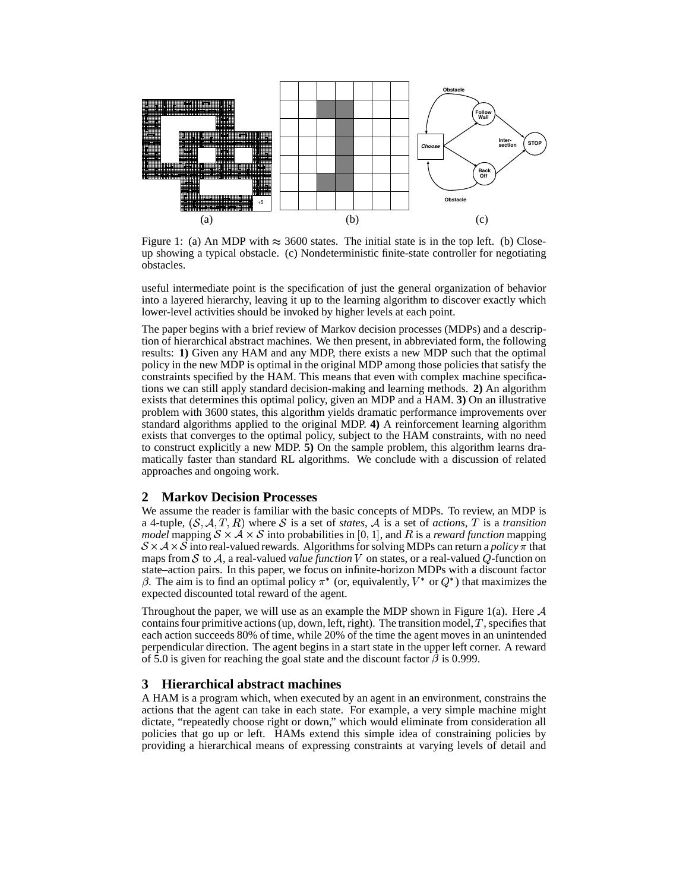

Figure 1: (a) An MDP with  $\approx 3600$  states. The initial state is in the top left. (b) Closeup showing a typical obstacle. (c) Nondeterministic finite-state controller for negotiating obstacles.

useful intermediate point is the specification of just the general organization of behavior into a layered hierarchy, leaving it up to the learning algorithm to discover exactly which lower-level activities should be invoked by higher levels at each point.

The paper begins with a brief review of Markov decision processes (MDPs) and a description of hierarchical abstract machines. We then present, in abbreviated form, the following results: **1)** Given any HAM and any MDP, there exists a new MDP such that the optimal policy in the new MDP is optimal in the original MDP among those policies that satisfy the constraints specified by the HAM. This means that even with complex machine specifications we can still apply standard decision-making and learning methods. **2)** An algorithm exists that determines this optimal policy, given an MDP and a HAM. **3)** On an illustrative problem with 3600 states, this algorithm yields dramatic performance improvements over standard algorithms applied to the original MDP. **4)** A reinforcement learning algorithm exists that converges to the optimal policy, subject to the HAM constraints, with no need to construct explicitly a new MDP. **5)** On the sample problem, this algorithm learns dramatically faster than standard RL algorithms. We conclude with a discussion of related approaches and ongoing work.

## **2 Markov Decision Processes**

We assume the reader is familiar with the basic concepts of MDPs. To review, an MDP is a 4-tuple,  $(S, A, T, R)$  where S is a set of *states*, A is a set of *actions*, T is a *transition model* mapping  $S \times A \times S$  into probabilities in [0, 1], and R is a *reward function* mapping  $S \times A \times S$  into real-valued rewards. Algorithms for solving MDPs can return a *policy*  $\pi$  that maps from  $S$  to  $A$ , a real-valued *value function*  $V$  on states, or a real-valued  $Q$ -function on state–action pairs. In this paper, we focus on infinite-horizon MDPs with a discount factor  $\beta$ . The aim is to find an optimal policy  $\pi^*$  (or, equivalently,  $V^*$  or  $Q^*$ ) that maximizes the expected discounted total reward of the agent.

Throughout the paper, we will use as an example the MDP shown in Figure 1(a). Here  $A$ contains four primitive actions (up, down, left, right). The transition model,  $T$ , specifies that each action succeeds 80% of time, while 20% of the time the agent moves in an unintended perpendicular direction. The agent begins in a start state in the upper left corner. A reward of 5.0 is given for reaching the goal state and the discount factor  $\beta$  is 0.999.

### **3 Hierarchical abstract machines**

A HAM is a program which, when executed by an agent in an environment, constrains the actions that the agent can take in each state. For example, a very simple machine might dictate, "repeatedly choose right or down," which would eliminate from consideration all policies that go up or left. HAMs extend this simple idea of constraining policies by providing a hierarchical means of expressing constraints at varying levels of detail and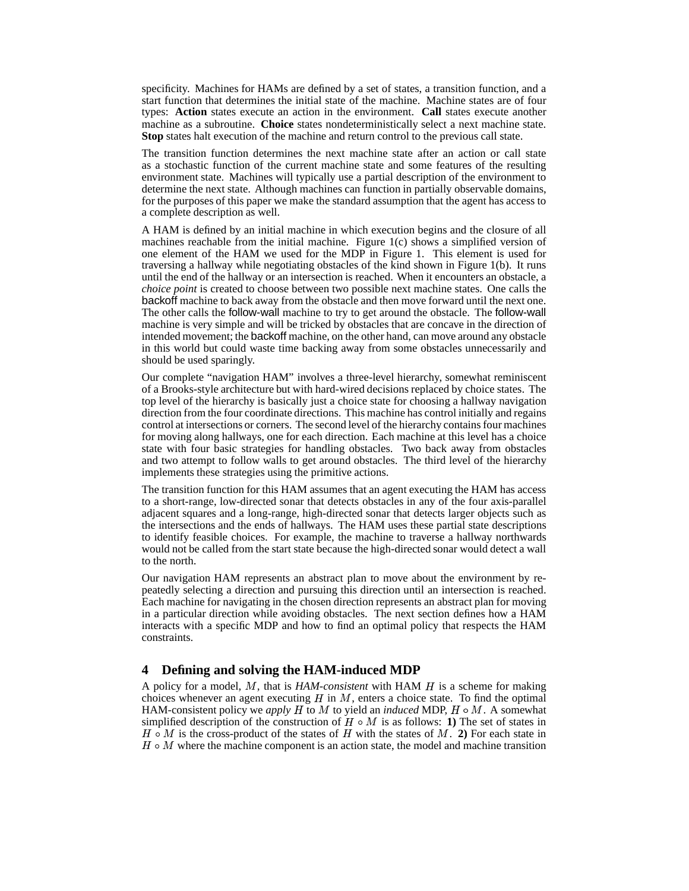specificity. Machines for HAMs are defined by a set of states, a transition function, and a start function that determines the initial state of the machine. Machine states are of four types: **Action** states execute an action in the environment. **Call** states execute another machine as a subroutine. **Choice** states nondeterministically select a next machine state. **Stop** states halt execution of the machine and return control to the previous call state.

The transition function determines the next machine state after an action or call state as a stochastic function of the current machine state and some features of the resulting environment state. Machines will typically use a partial description of the environment to determine the next state. Although machines can function in partially observable domains, for the purposes of this paper we make the standard assumption that the agent has access to a complete description as well.

A HAM is defined by an initial machine in which execution begins and the closure of all machines reachable from the initial machine. Figure 1(c) shows a simplified version of one element of the HAM we used for the MDP in Figure 1. This element is used for traversing a hallway while negotiating obstacles of the kind shown in Figure 1(b). It runs until the end of the hallway or an intersection is reached. When it encounters an obstacle, a *choice point* is created to choose between two possible next machine states. One calls the backoff machine to back away from the obstacle and then move forward until the next one. The other calls the follow-wall machine to try to get around the obstacle. The follow-wall machine is very simple and will be tricked by obstacles that are concave in the direction of intended movement; the backoff machine, on the other hand, can move around any obstacle in this world but could waste time backing away from some obstacles unnecessarily and should be used sparingly.

Our complete "navigation HAM" involves a three-level hierarchy, somewhat reminiscent of a Brooks-style architecture but with hard-wired decisions replaced by choice states. The top level of the hierarchy is basically just a choice state for choosing a hallway navigation direction from the four coordinate directions. This machine has control initially and regains control at intersections or corners. The second level of the hierarchy containsfour machines for moving along hallways, one for each direction. Each machine at this level has a choice state with four basic strategies for handling obstacles. Two back away from obstacles and two attempt to follow walls to get around obstacles. The third level of the hierarchy implements these strategies using the primitive actions.

The transition function for this HAM assumes that an agent executing the HAM has access to a short-range, low-directed sonar that detects obstacles in any of the four axis-parallel adjacent squares and a long-range, high-directed sonar that detects larger objects such as the intersections and the ends of hallways. The HAM uses these partial state descriptions to identify feasible choices. For example, the machine to traverse a hallway northwards would not be called from the start state because the high-directed sonar would detect a wall to the north.

Our navigation HAM represents an abstract plan to move about the environment by repeatedly selecting a direction and pursuing this direction until an intersection is reached. Each machine for navigating in the chosen direction represents an abstract plan for moving in a particular direction while avoiding obstacles. The next section defines how a HAM interacts with a specific MDP and how to find an optimal policy that respects the HAM constraints.

### **4 Defining and solving the HAM-induced MDP**

A policy for a model, M, that is *HAM-consistent* with HAM H is a scheme for making choices whenever an agent executing  $H$  in  $M$ , enters a choice state. To find the optimal HAM-consistent policy we *apply*  $H$  to  $M$  to yield an *induced* MDP,  $H \circ M$ . A somewhat simplified description of the construction of  $H \circ M$  is as follows: 1) The set of states in  $H \circ M$  is the cross-product of the states of H with the states of  $M$ . 2) For each state in  $H \circ M$  where the machine component is an action state, the model and machine transition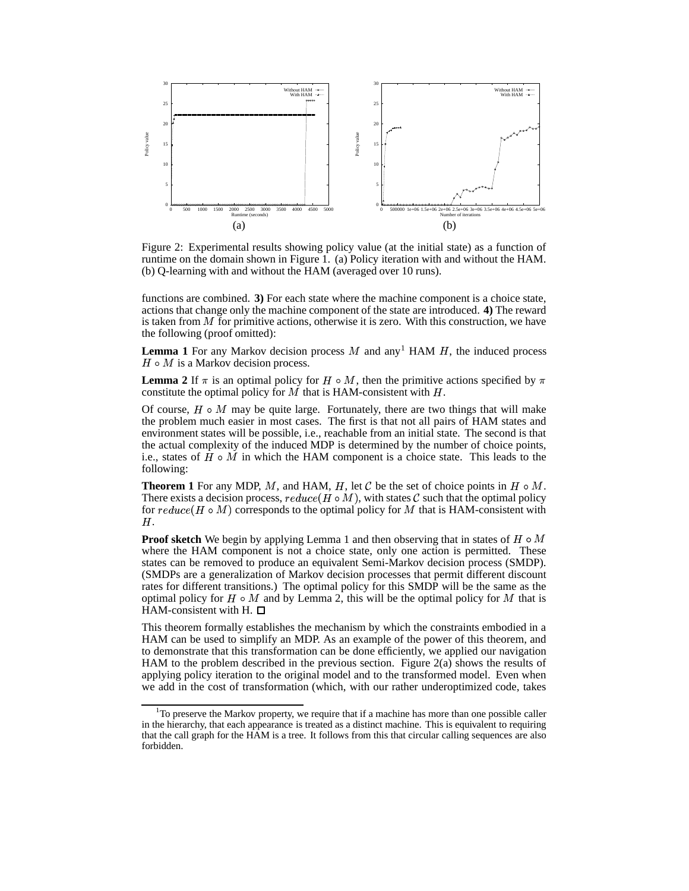

Figure 2: Experimental results showing policy value (at the initial state) as a function of runtime on the domain shown in Figure 1. (a) Policy iteration with and without the HAM. (b) Q-learning with and without the HAM (averaged over 10 runs).

functions are combined. **3)** For each state where the machine component is a choice state, actions that change only the machine component of the state are introduced. **4)** The reward is taken from  $M$  for primitive actions, otherwise it is zero. With this construction, we have the following (proof omitted):

**Lemma** 1 For any Markov decision process  $M$  and any<sup>1</sup> HAM  $H$ , the induced process  $H \circ M$  is a Markov decision process.

**Lemma** 2 If  $\pi$  is an optimal policy for  $H \circ M$ , then the primitive actions specified by  $\pi$ constitute the optimal policy for  $M$  that is HAM-consistent with  $H$ .

Of course,  $H \circ M$  may be quite large. Fortunately, there are two things that will make the problem much easier in most cases. The first is that not all pairs of HAM states and environment states will be possible, i.e., reachable from an initial state. The second is that the actual complexity of the induced MDP is determined by the number of choice points, i.e., states of  $H \circ M$  in which the HAM component is a choice state. This leads to the following:

**Theorem 1** For any MDP, M, and HAM, H, let C be the set of choice points in  $H \circ M$ . There exists a decision process,  $reduce(H \circ M)$ , with states C such that the optimal policy for  $reduce(H \circ M)$  corresponds to the optimal policy for M that is HAM-consistent with Н.

**Proof sketch** We begin by applying Lemma 1 and then observing that in states of  $H \circ M$ where the HAM component is not a choice state, only one action is permitted. These states can be removed to produce an equivalent Semi-Markov decision process (SMDP). (SMDPs are a generalization of Markov decision processes that permit different discount rates for different transitions.) The optimal policy for this SMDP will be the same as the optimal policy for  $H \circ M$  and by Lemma 2, this will be the optimal policy for M that is HAM-consistent with H.  $\Box$ 

This theorem formally establishes the mechanism by which the constraints embodied in a HAM can be used to simplify an MDP. As an example of the power of this theorem, and to demonstrate that this transformation can be done efficiently, we applied our navigation HAM to the problem described in the previous section. Figure 2(a) shows the results of applying policy iteration to the original model and to the transformed model. Even when we add in the cost of transformation (which, with our rather underoptimized code, takes

 $1<sup>1</sup>$  To preserve the Markov property, we require that if a machine has more than one possible caller in the hierarchy, that each appearance is treated as a distinct machine. This is equivalent to requiring that the call graph for the HAM is a tree. It follows from this that circular calling sequences are also forbidden.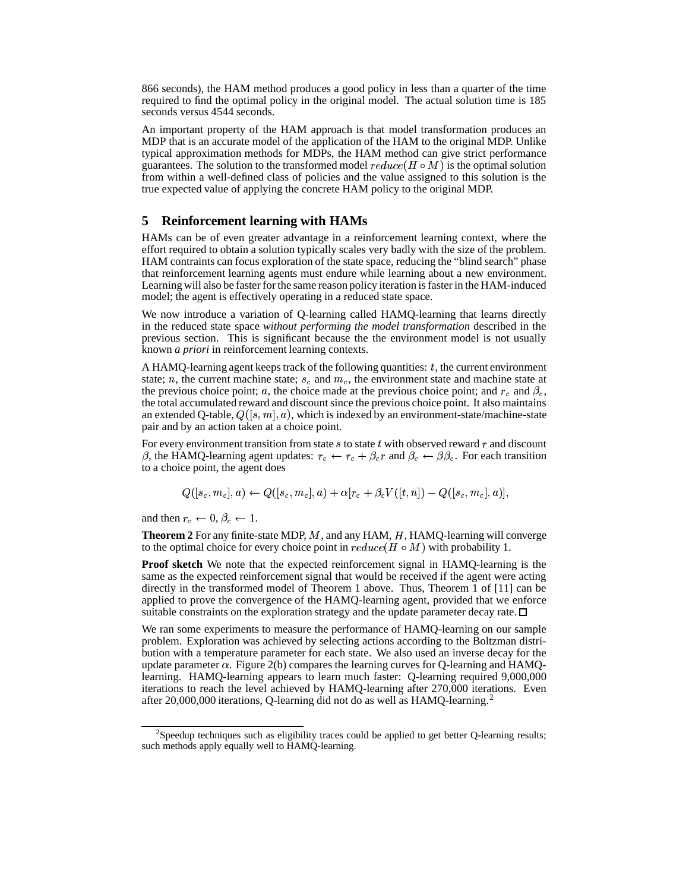866 seconds), the HAM method produces a good policy in less than a quarter of the time required to find the optimal policy in the original model. The actual solution time is 185 seconds versus 4544 seconds.

An important property of the HAM approach is that model transformation produces an MDP that is an accurate model of the application of the HAM to the original MDP. Unlike typical approximation methods for MDPs, the HAM method can give strict performance guarantees. The solution to the transformed model  $reduce(H \circ M)$  is the optimal solution from within a well-defined class of policies and the value assigned to this solution is the true expected value of applying the concrete HAM policy to the original MDP.

## **5 Reinforcement learning with HAMs**

HAMs can be of even greater advantage in a reinforcement learning context, where the effort required to obtain a solution typically scales very badly with the size of the problem. HAM contraints can focus exploration of the state space, reducing the "blind search" phase that reinforcement learning agents must endure while learning about a new environment. Learning will also be faster forthe same reason policy iteration isfaster in the HAM-induced model; the agent is effectively operating in a reduced state space.

We now introduce a variation of Q-learning called HAMQ-learning that learns directly in the reduced state space *without performing the model transformation* described in the previous section. This is significant because the the environment model is not usually known *a priori* in reinforcement learning contexts.

A HAMQ-learning agent keeps track of the following quantities:  $t$ , the current environment state; n, the current machine state;  $s_c$  and  $m_c$ , the environment state and machine state at the previous choice point; a, the choice made at the previous choice point; and  $r_c$  and  $\beta_c$ , the total accumulated reward and discount since the previous choice point. It also maintains an extended Q-table,  $Q([s, m], a)$ , which is indexed by an environment-state/machine-state pair and by an action taken at a choice point.

For every environment transition from state  $s$  to state  $t$  with observed reward  $r$  and discount  $\beta$ , the HAMQ-learning agent updates:  $r_c \leftarrow r_c + \beta_c r$  and  $\beta_c \leftarrow \beta \beta_c$ . For each transition to a choice point, the agent does

$$
Q([s_c, m_c], a) \leftarrow Q([s_c, m_c], a) + \alpha [r_c + \beta_c V([t, n]) - Q([s_c, m_c], a)],
$$

and then  $r_c \leftarrow 0, \beta_c \leftarrow 1$ .

**Theorem 2** For any finite-state MDP,  $M$ , and any HAM,  $H$ , HAMQ-learning will converge to the optimal choice for every choice point in  $reduce(H \circ M)$  with probability 1.

**Proof sketch** We note that the expected reinforcement signal in HAMQ-learning is the same as the expected reinforcement signal that would be received if the agent were acting directly in the transformed model of Theorem 1 above. Thus, Theorem 1 of [11] can be applied to prove the convergence of the HAMQ-learning agent, provided that we enforce suitable constraints on the exploration strategy and the update parameter decay rate.  $\Box$ 

We ran some experiments to measure the performance of HAMQ-learning on our sample problem. Exploration was achieved by selecting actions according to the Boltzman distribution with a temperature parameter for each state. We also used an inverse decay for the update parameter  $\alpha$ . Figure 2(b) compares the learning curves for O-learning and HAMOlearning. HAMQ-learning appears to learn much faster: Q-learning required 9,000,000 iterations to reach the level achieved by HAMQ-learning after 270,000 iterations. Even after 20,000,000 iterations, Q-learning did not do as well as HAMQ-learning.<sup>2</sup>

 $2$ Speedup techniques such as eligibility traces could be applied to get better Q-learning results; such methods apply equally well to HAMQ-learning.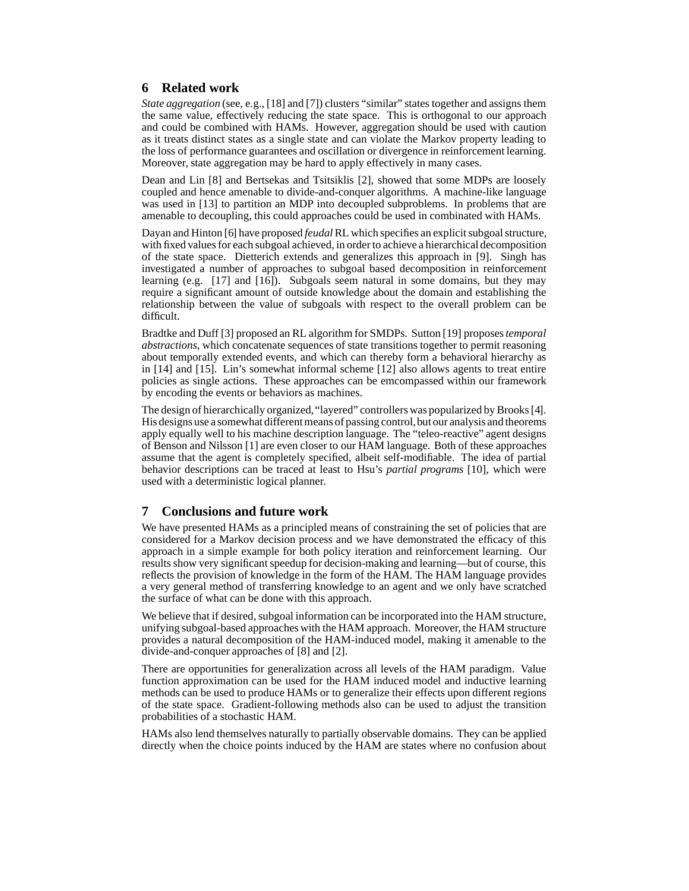## **6 Related work**

*State aggregation* (see, e.g., [18] and [7]) clusters "similar" states together and assigns them the same value, effectively reducing the state space. This is orthogonal to our approach and could be combined with HAMs. However, aggregation should be used with caution as it treats distinct states as a single state and can violate the Markov property leading to the loss of performance guarantees and oscillation or divergence in reinforcement learning. Moreover, state aggregation may be hard to apply effectively in many cases.

Dean and Lin [8] and Bertsekas and Tsitsiklis [2], showed that some MDPs are loosely coupled and hence amenable to divide-and-conquer algorithms. A machine-like language was used in [13] to partition an MDP into decoupled subproblems. In problems that are amenable to decoupling, this could approaches could be used in combinated with HAMs.

Dayan and Hinton [6] have proposed *feudal* RL which specifies an explicit subgoal structure, with fixed values for each subgoal achieved, in order to achieve a hierarchical decomposition of the state space. Dietterich extends and generalizes this approach in [9]. Singh has investigated a number of approaches to subgoal based decomposition in reinforcement learning (e.g. [17] and [16]). Subgoals seem natural in some domains, but they may require a significant amount of outside knowledge about the domain and establishing the relationship between the value of subgoals with respect to the overall problem can be difficult.

Bradtke and Duff [3] proposed an RL algorithm for SMDPs. Sutton [19] proposes*temporal abstractions*, which concatenate sequences of state transitions together to permit reasoning about temporally extended events, and which can thereby form a behavioral hierarchy as in [14] and [15]. Lin's somewhat informal scheme [12] also allows agents to treat entire policies as single actions. These approaches can be emcompassed within our framework by encoding the events or behaviors as machines.

The design of hierarchically organized, "layered" controllers was popularized by Brooks [4]. His designs use a somewhat different means of passing control, but our analysis and theorems apply equally well to his machine description language. The "teleo-reactive" agent designs of Benson and Nilsson [1] are even closer to our HAM language. Both of these approaches assume that the agent is completely specified, albeit self-modifiable. The idea of partial behavior descriptions can be traced at least to Hsu's *partial programs* [10], which were used with a deterministic logical planner.

# **7 Conclusions and future work**

We have presented HAMs as a principled means of constraining the set of policies that are considered for a Markov decision process and we have demonstrated the efficacy of this approach in a simple example for both policy iteration and reinforcement learning. Our results show very significant speedup for decision-making and learning—but of course, this reflects the provision of knowledge in the form of the HAM. The HAM language provides a very general method of transferring knowledge to an agent and we only have scratched the surface of what can be done with this approach.

We believe that if desired, subgoal information can be incorporated into the HAM structure, unifying subgoal-based approaches with the HAM approach. Moreover, the HAM structure provides a natural decomposition of the HAM-induced model, making it amenable to the divide-and-conquer approaches of [8] and [2].

There are opportunities for generalization across all levels of the HAM paradigm. Value function approximation can be used for the HAM induced model and inductive learning methods can be used to produce HAMs or to generalize their effects upon different regions of the state space. Gradient-following methods also can be used to adjust the transition probabilities of a stochastic HAM.

HAMs also lend themselves naturally to partially observable domains. They can be applied directly when the choice points induced by the HAM are states where no confusion about